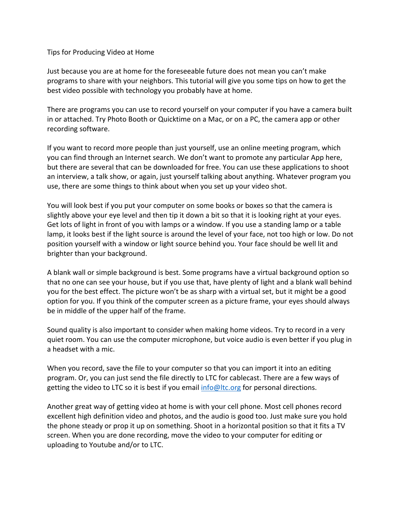## Tips for Producing Video at Home

Just because you are at home for the foreseeable future does not mean you can't make programs to share with your neighbors. This tutorial will give you some tips on how to get the best video possible with technology you probably have at home.

There are programs you can use to record yourself on your computer if you have a camera built in or attached. Try Photo Booth or Quicktime on a Mac, or on a PC, the camera app or other recording software.

If you want to record more people than just yourself, use an online meeting program, which you can find through an Internet search. We don't want to promote any particular App here, but there are several that can be downloaded for free. You can use these applications to shoot an interview, a talk show, or again, just yourself talking about anything. Whatever program you use, there are some things to think about when you set up your video shot.

You will look best if you put your computer on some books or boxes so that the camera is slightly above your eye level and then tip it down a bit so that it is looking right at your eyes. Get lots of light in front of you with lamps or a window. If you use a standing lamp or a table lamp, it looks best if the light source is around the level of your face, not too high or low. Do not position yourself with a window or light source behind you. Your face should be well lit and brighter than your background.

A blank wall or simple background is best. Some programs have a virtual background option so that no one can see your house, but if you use that, have plenty of light and a blank wall behind you for the best effect. The picture won't be as sharp with a virtual set, but it might be a good option for you. If you think of the computer screen as a picture frame, your eyes should always be in middle of the upper half of the frame.

Sound quality is also important to consider when making home videos. Try to record in a very quiet room. You can use the computer microphone, but voice audio is even better if you plug in a headset with a mic.

When you record, save the file to your computer so that you can import it into an editing program. Or, you can just send the file directly to LTC for cablecast. There are a few ways of getting the video to LTC so it is best if you email info@ltc.org for personal directions.

Another great way of getting video at home is with your cell phone. Most cell phones record excellent high definition video and photos, and the audio is good too. Just make sure you hold the phone steady or prop it up on something. Shoot in a horizontal position so that it fits a TV screen. When you are done recording, move the video to your computer for editing or uploading to Youtube and/or to LTC.